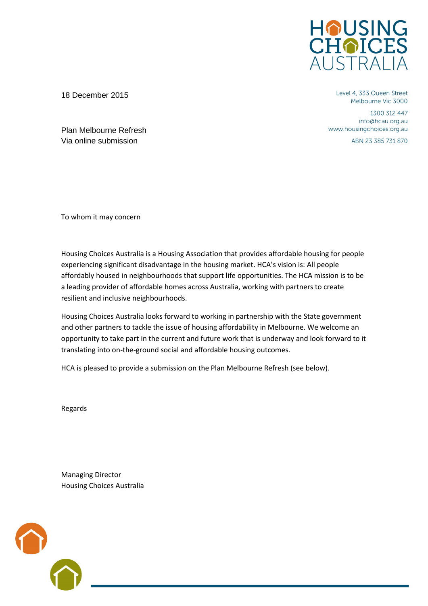

Level 4, 333 Queen Street Melbourne Vic 3000

1300 312 447 info@hcau.org.au www.housingchoices.org.au

ABN 23 385 731 870

Plan Melbourne Refresh Via online submission

18 December 2015

To whom it may concern

Housing Choices Australia is a Housing Association that provides affordable housing for people experiencing significant disadvantage in the housing market. HCA's vision is: All people affordably housed in neighbourhoods that support life opportunities. The HCA mission is to be a leading provider of affordable homes across Australia, working with partners to create resilient and inclusive neighbourhoods.

Housing Choices Australia looks forward to working in partnership with the State government and other partners to tackle the issue of housing affordability in Melbourne. We welcome an opportunity to take part in the current and future work that is underway and look forward to it translating into on-the-ground social and affordable housing outcomes.

HCA is pleased to provide a submission on the Plan Melbourne Refresh (see below).

Regards

Managing Director Housing Choices Australia

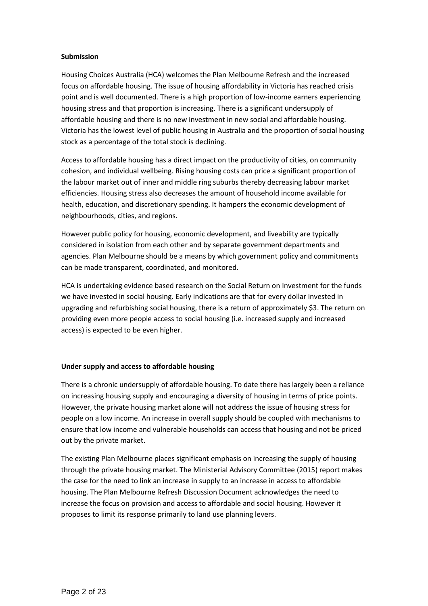#### **Submission**

Housing Choices Australia (HCA) welcomes the Plan Melbourne Refresh and the increased focus on affordable housing. The issue of housing affordability in Victoria has reached crisis point and is well documented. There is a high proportion of low-income earners experiencing housing stress and that proportion is increasing. There is a significant undersupply of affordable housing and there is no new investment in new social and affordable housing. Victoria has the lowest level of public housing in Australia and the proportion of social housing stock as a percentage of the total stock is declining.

Access to affordable housing has a direct impact on the productivity of cities, on community cohesion, and individual wellbeing. Rising housing costs can price a significant proportion of the labour market out of inner and middle ring suburbs thereby decreasing labour market efficiencies. Housing stress also decreases the amount of household income available for health, education, and discretionary spending. It hampers the economic development of neighbourhoods, cities, and regions.

However public policy for housing, economic development, and liveability are typically considered in isolation from each other and by separate government departments and agencies. Plan Melbourne should be a means by which government policy and commitments can be made transparent, coordinated, and monitored.

HCA is undertaking evidence based research on the Social Return on Investment for the funds we have invested in social housing. Early indications are that for every dollar invested in upgrading and refurbishing social housing, there is a return of approximately \$3. The return on providing even more people access to social housing (i.e. increased supply and increased access) is expected to be even higher.

# **Under supply and access to affordable housing**

There is a chronic undersupply of affordable housing. To date there has largely been a reliance on increasing housing supply and encouraging a diversity of housing in terms of price points. However, the private housing market alone will not address the issue of housing stress for people on a low income. An increase in overall supply should be coupled with mechanisms to ensure that low income and vulnerable households can access that housing and not be priced out by the private market.

The existing Plan Melbourne places significant emphasis on increasing the supply of housing through the private housing market. The Ministerial Advisory Committee (2015) report makes the case for the need to link an increase in supply to an increase in access to affordable housing. The Plan Melbourne Refresh Discussion Document acknowledges the need to increase the focus on provision and access to affordable and social housing. However it proposes to limit its response primarily to land use planning levers.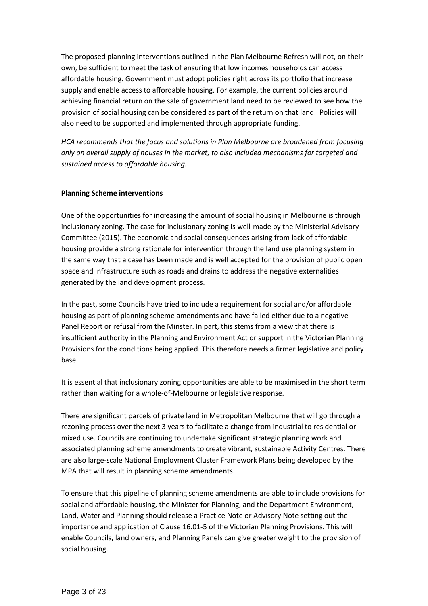The proposed planning interventions outlined in the Plan Melbourne Refresh will not, on their own, be sufficient to meet the task of ensuring that low incomes households can access affordable housing. Government must adopt policies right across its portfolio that increase supply and enable access to affordable housing. For example, the current policies around achieving financial return on the sale of government land need to be reviewed to see how the provision of social housing can be considered as part of the return on that land. Policies will also need to be supported and implemented through appropriate funding.

*HCA recommends that the focus and solutions in Plan Melbourne are broadened from focusing only on overall supply of houses in the market, to also included mechanisms for targeted and sustained access to affordable housing.*

## **Planning Scheme interventions**

One of the opportunities for increasing the amount of social housing in Melbourne is through inclusionary zoning. The case for inclusionary zoning is well-made by the Ministerial Advisory Committee (2015). The economic and social consequences arising from lack of affordable housing provide a strong rationale for intervention through the land use planning system in the same way that a case has been made and is well accepted for the provision of public open space and infrastructure such as roads and drains to address the negative externalities generated by the land development process.

In the past, some Councils have tried to include a requirement for social and/or affordable housing as part of planning scheme amendments and have failed either due to a negative Panel Report or refusal from the Minster. In part, this stems from a view that there is insufficient authority in the Planning and Environment Act or support in the Victorian Planning Provisions for the conditions being applied. This therefore needs a firmer legislative and policy base.

It is essential that inclusionary zoning opportunities are able to be maximised in the short term rather than waiting for a whole-of-Melbourne or legislative response.

There are significant parcels of private land in Metropolitan Melbourne that will go through a rezoning process over the next 3 years to facilitate a change from industrial to residential or mixed use. Councils are continuing to undertake significant strategic planning work and associated planning scheme amendments to create vibrant, sustainable Activity Centres. There are also large-scale National Employment Cluster Framework Plans being developed by the MPA that will result in planning scheme amendments.

To ensure that this pipeline of planning scheme amendments are able to include provisions for social and affordable housing, the Minister for Planning, and the Department Environment, Land, Water and Planning should release a Practice Note or Advisory Note setting out the importance and application of Clause 16.01-5 of the Victorian Planning Provisions. This will enable Councils, land owners, and Planning Panels can give greater weight to the provision of social housing.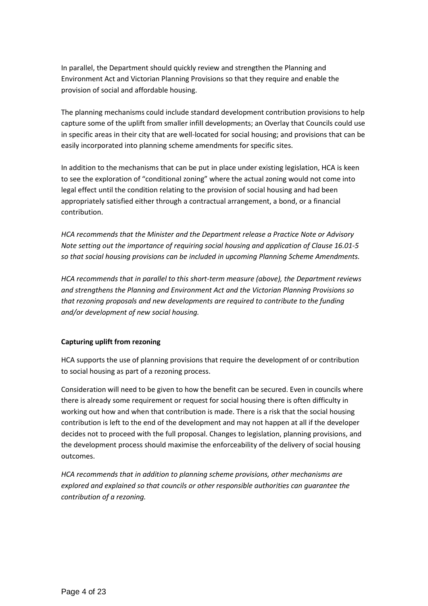In parallel, the Department should quickly review and strengthen the Planning and Environment Act and Victorian Planning Provisions so that they require and enable the provision of social and affordable housing.

The planning mechanisms could include standard development contribution provisions to help capture some of the uplift from smaller infill developments; an Overlay that Councils could use in specific areas in their city that are well-located for social housing; and provisions that can be easily incorporated into planning scheme amendments for specific sites.

In addition to the mechanisms that can be put in place under existing legislation, HCA is keen to see the exploration of "conditional zoning" where the actual zoning would not come into legal effect until the condition relating to the provision of social housing and had been appropriately satisfied either through a contractual arrangement, a bond, or a financial contribution.

*HCA recommends that the Minister and the Department release a Practice Note or Advisory Note setting out the importance of requiring social housing and application of Clause 16.01-5 so that social housing provisions can be included in upcoming Planning Scheme Amendments.* 

*HCA recommends that in parallel to this short-term measure (above), the Department reviews and strengthens the Planning and Environment Act and the Victorian Planning Provisions so that rezoning proposals and new developments are required to contribute to the funding and/or development of new social housing.* 

# **Capturing uplift from rezoning**

HCA supports the use of planning provisions that require the development of or contribution to social housing as part of a rezoning process.

Consideration will need to be given to how the benefit can be secured. Even in councils where there is already some requirement or request for social housing there is often difficulty in working out how and when that contribution is made. There is a risk that the social housing contribution is left to the end of the development and may not happen at all if the developer decides not to proceed with the full proposal. Changes to legislation, planning provisions, and the development process should maximise the enforceability of the delivery of social housing outcomes.

*HCA recommends that in addition to planning scheme provisions, other mechanisms are explored and explained so that councils or other responsible authorities can guarantee the contribution of a rezoning.*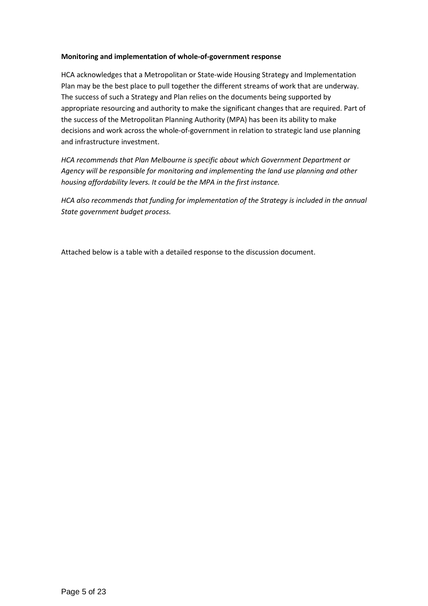## **Monitoring and implementation of whole-of-government response**

HCA acknowledges that a Metropolitan or State-wide Housing Strategy and Implementation Plan may be the best place to pull together the different streams of work that are underway. The success of such a Strategy and Plan relies on the documents being supported by appropriate resourcing and authority to make the significant changes that are required. Part of the success of the Metropolitan Planning Authority (MPA) has been its ability to make decisions and work across the whole-of-government in relation to strategic land use planning and infrastructure investment.

*HCA recommends that Plan Melbourne is specific about which Government Department or Agency will be responsible for monitoring and implementing the land use planning and other housing affordability levers. It could be the MPA in the first instance.* 

*HCA also recommends that funding for implementation of the Strategy is included in the annual State government budget process.* 

Attached below is a table with a detailed response to the discussion document.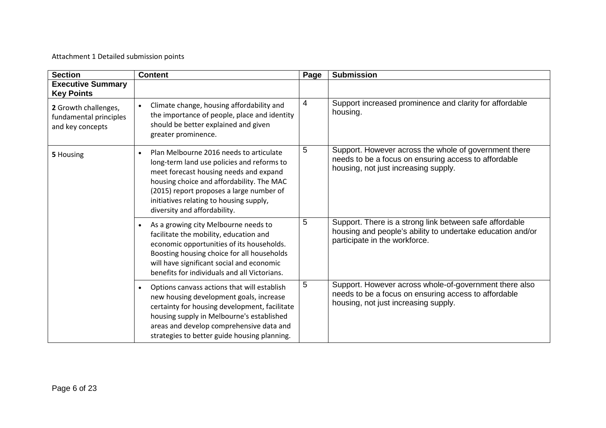# Attachment 1 Detailed submission points

| <b>Section</b>                                                     | <b>Content</b>                                                                                                                                                                                                                                                                                                   | Page           | <b>Submission</b>                                                                                                                                      |
|--------------------------------------------------------------------|------------------------------------------------------------------------------------------------------------------------------------------------------------------------------------------------------------------------------------------------------------------------------------------------------------------|----------------|--------------------------------------------------------------------------------------------------------------------------------------------------------|
| <b>Executive Summary</b><br><b>Key Points</b>                      |                                                                                                                                                                                                                                                                                                                  |                |                                                                                                                                                        |
| 2 Growth challenges,<br>fundamental principles<br>and key concepts | Climate change, housing affordability and<br>the importance of people, place and identity<br>should be better explained and given<br>greater prominence.                                                                                                                                                         | $\overline{4}$ | Support increased prominence and clarity for affordable<br>housing.                                                                                    |
| 5 Housing                                                          | Plan Melbourne 2016 needs to articulate<br>$\bullet$<br>long-term land use policies and reforms to<br>meet forecast housing needs and expand<br>housing choice and affordability. The MAC<br>(2015) report proposes a large number of<br>initiatives relating to housing supply,<br>diversity and affordability. | 5              | Support. However across the whole of government there<br>needs to be a focus on ensuring access to affordable<br>housing, not just increasing supply.  |
|                                                                    | As a growing city Melbourne needs to<br>$\bullet$<br>facilitate the mobility, education and<br>economic opportunities of its households.<br>Boosting housing choice for all households<br>will have significant social and economic<br>benefits for individuals and all Victorians.                              | 5              | Support. There is a strong link between safe affordable<br>housing and people's ability to undertake education and/or<br>participate in the workforce. |
|                                                                    | Options canvass actions that will establish<br>$\bullet$<br>new housing development goals, increase<br>certainty for housing development, facilitate<br>housing supply in Melbourne's established<br>areas and develop comprehensive data and<br>strategies to better guide housing planning.                    | 5              | Support. However across whole-of-government there also<br>needs to be a focus on ensuring access to affordable<br>housing, not just increasing supply. |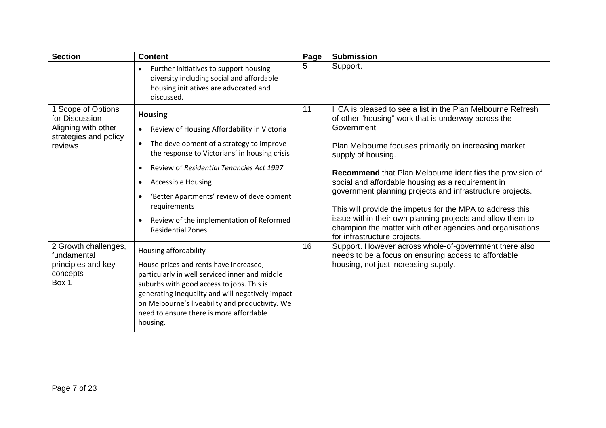| <b>Section</b>                                                                                  | <b>Content</b>                                                                                                                                                                                                                                                                                                                                                                        | Page | <b>Submission</b>                                                                                                                                                                                                                                                                                                                                                                                                                                                                                                                                                                                                      |
|-------------------------------------------------------------------------------------------------|---------------------------------------------------------------------------------------------------------------------------------------------------------------------------------------------------------------------------------------------------------------------------------------------------------------------------------------------------------------------------------------|------|------------------------------------------------------------------------------------------------------------------------------------------------------------------------------------------------------------------------------------------------------------------------------------------------------------------------------------------------------------------------------------------------------------------------------------------------------------------------------------------------------------------------------------------------------------------------------------------------------------------------|
|                                                                                                 | Further initiatives to support housing<br>diversity including social and affordable<br>housing initiatives are advocated and<br>discussed.                                                                                                                                                                                                                                            | 5    | Support.                                                                                                                                                                                                                                                                                                                                                                                                                                                                                                                                                                                                               |
| 1 Scope of Options<br>for Discussion<br>Aligning with other<br>strategies and policy<br>reviews | <b>Housing</b><br>Review of Housing Affordability in Victoria<br>$\bullet$<br>The development of a strategy to improve<br>the response to Victorians' in housing crisis<br>Review of Residential Tenancies Act 1997<br><b>Accessible Housing</b><br>'Better Apartments' review of development<br>requirements<br>Review of the implementation of Reformed<br><b>Residential Zones</b> | 11   | HCA is pleased to see a list in the Plan Melbourne Refresh<br>of other "housing" work that is underway across the<br>Government.<br>Plan Melbourne focuses primarily on increasing market<br>supply of housing.<br>Recommend that Plan Melbourne identifies the provision of<br>social and affordable housing as a requirement in<br>government planning projects and infrastructure projects.<br>This will provide the impetus for the MPA to address this<br>issue within their own planning projects and allow them to<br>champion the matter with other agencies and organisations<br>for infrastructure projects. |
| 2 Growth challenges,<br>fundamental<br>principles and key<br>concepts<br>Box 1                  | Housing affordability<br>House prices and rents have increased,<br>particularly in well serviced inner and middle<br>suburbs with good access to jobs. This is<br>generating inequality and will negatively impact<br>on Melbourne's liveability and productivity. We<br>need to ensure there is more affordable<br>housing.                                                          | 16   | Support. However across whole-of-government there also<br>needs to be a focus on ensuring access to affordable<br>housing, not just increasing supply.                                                                                                                                                                                                                                                                                                                                                                                                                                                                 |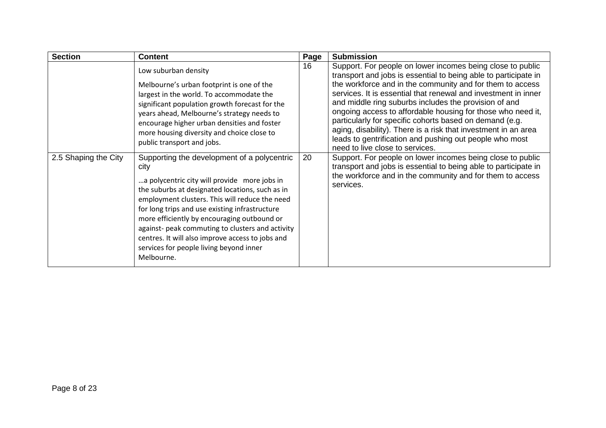| <b>Section</b>       | <b>Content</b>                                                                                                                                                                                                                                                                                                                                                                                                                                                             | Page | <b>Submission</b>                                                                                                                                                                                                                                                                                                                                                                                                                                                                                                                                                                                               |
|----------------------|----------------------------------------------------------------------------------------------------------------------------------------------------------------------------------------------------------------------------------------------------------------------------------------------------------------------------------------------------------------------------------------------------------------------------------------------------------------------------|------|-----------------------------------------------------------------------------------------------------------------------------------------------------------------------------------------------------------------------------------------------------------------------------------------------------------------------------------------------------------------------------------------------------------------------------------------------------------------------------------------------------------------------------------------------------------------------------------------------------------------|
|                      | Low suburban density<br>Melbourne's urban footprint is one of the<br>largest in the world. To accommodate the<br>significant population growth forecast for the<br>years ahead, Melbourne's strategy needs to<br>encourage higher urban densities and foster<br>more housing diversity and choice close to<br>public transport and jobs.                                                                                                                                   | 16   | Support. For people on lower incomes being close to public<br>transport and jobs is essential to being able to participate in<br>the workforce and in the community and for them to access<br>services. It is essential that renewal and investment in inner<br>and middle ring suburbs includes the provision of and<br>ongoing access to affordable housing for those who need it,<br>particularly for specific cohorts based on demand (e.g.<br>aging, disability). There is a risk that investment in an area<br>leads to gentrification and pushing out people who most<br>need to live close to services. |
| 2.5 Shaping the City | Supporting the development of a polycentric<br>city<br>a polycentric city will provide more jobs in<br>the suburbs at designated locations, such as in<br>employment clusters. This will reduce the need<br>for long trips and use existing infrastructure<br>more efficiently by encouraging outbound or<br>against- peak commuting to clusters and activity<br>centres. It will also improve access to jobs and<br>services for people living beyond inner<br>Melbourne. | 20   | Support. For people on lower incomes being close to public<br>transport and jobs is essential to being able to participate in<br>the workforce and in the community and for them to access<br>services.                                                                                                                                                                                                                                                                                                                                                                                                         |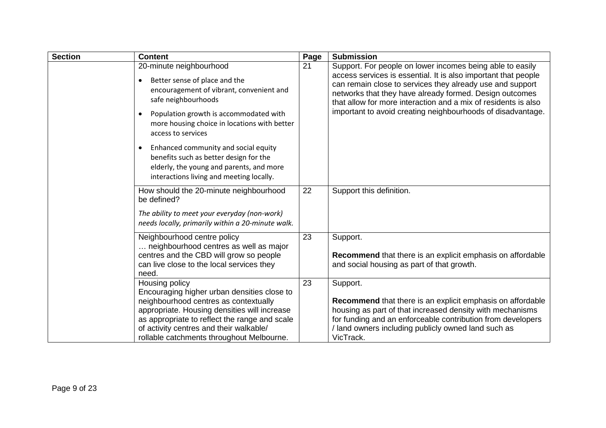| <b>Section</b> | <b>Content</b>                                                                                                                                                                                                                                                                                  | Page | <b>Submission</b>                                                                                                                                                                                                                                                                                                                                                                    |
|----------------|-------------------------------------------------------------------------------------------------------------------------------------------------------------------------------------------------------------------------------------------------------------------------------------------------|------|--------------------------------------------------------------------------------------------------------------------------------------------------------------------------------------------------------------------------------------------------------------------------------------------------------------------------------------------------------------------------------------|
|                | 20-minute neighbourhood<br>Better sense of place and the<br>$\bullet$<br>encouragement of vibrant, convenient and<br>safe neighbourhoods<br>Population growth is accommodated with<br>$\bullet$<br>more housing choice in locations with better<br>access to services                           | 21   | Support. For people on lower incomes being able to easily<br>access services is essential. It is also important that people<br>can remain close to services they already use and support<br>networks that they have already formed. Design outcomes<br>that allow for more interaction and a mix of residents is also<br>important to avoid creating neighbourhoods of disadvantage. |
|                | Enhanced community and social equity<br>$\bullet$<br>benefits such as better design for the<br>elderly, the young and parents, and more<br>interactions living and meeting locally.                                                                                                             |      |                                                                                                                                                                                                                                                                                                                                                                                      |
|                | How should the 20-minute neighbourhood<br>be defined?<br>The ability to meet your everyday (non-work)<br>needs locally, primarily within a 20-minute walk.                                                                                                                                      | 22   | Support this definition.                                                                                                                                                                                                                                                                                                                                                             |
|                | Neighbourhood centre policy<br>neighbourhood centres as well as major<br>centres and the CBD will grow so people<br>can live close to the local services they<br>need.                                                                                                                          | 23   | Support.<br><b>Recommend</b> that there is an explicit emphasis on affordable<br>and social housing as part of that growth.                                                                                                                                                                                                                                                          |
|                | Housing policy<br>Encouraging higher urban densities close to<br>neighbourhood centres as contextually<br>appropriate. Housing densities will increase<br>as appropriate to reflect the range and scale<br>of activity centres and their walkable/<br>rollable catchments throughout Melbourne. | 23   | Support.<br>Recommend that there is an explicit emphasis on affordable<br>housing as part of that increased density with mechanisms<br>for funding and an enforceable contribution from developers<br>/ land owners including publicly owned land such as<br>VicTrack.                                                                                                               |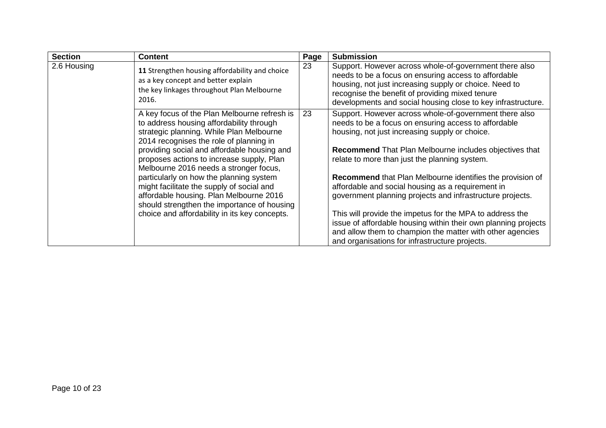| <b>Section</b> | <b>Content</b>                                                                                                                                                                                                                                                                                                                                                                                                                                                                                                                                           | Page | <b>Submission</b>                                                                                                                                                                                                                                                                                                                                                                                                                                                                                                                                                                                                                                                                                                     |
|----------------|----------------------------------------------------------------------------------------------------------------------------------------------------------------------------------------------------------------------------------------------------------------------------------------------------------------------------------------------------------------------------------------------------------------------------------------------------------------------------------------------------------------------------------------------------------|------|-----------------------------------------------------------------------------------------------------------------------------------------------------------------------------------------------------------------------------------------------------------------------------------------------------------------------------------------------------------------------------------------------------------------------------------------------------------------------------------------------------------------------------------------------------------------------------------------------------------------------------------------------------------------------------------------------------------------------|
| 2.6 Housing    | 11 Strengthen housing affordability and choice<br>as a key concept and better explain<br>the key linkages throughout Plan Melbourne<br>2016.                                                                                                                                                                                                                                                                                                                                                                                                             | 23   | Support. However across whole-of-government there also<br>needs to be a focus on ensuring access to affordable<br>housing, not just increasing supply or choice. Need to<br>recognise the benefit of providing mixed tenure<br>developments and social housing close to key infrastructure.                                                                                                                                                                                                                                                                                                                                                                                                                           |
|                | A key focus of the Plan Melbourne refresh is<br>to address housing affordability through<br>strategic planning. While Plan Melbourne<br>2014 recognises the role of planning in<br>providing social and affordable housing and<br>proposes actions to increase supply, Plan<br>Melbourne 2016 needs a stronger focus,<br>particularly on how the planning system<br>might facilitate the supply of social and<br>affordable housing. Plan Melbourne 2016<br>should strengthen the importance of housing<br>choice and affordability in its key concepts. | 23   | Support. However across whole-of-government there also<br>needs to be a focus on ensuring access to affordable<br>housing, not just increasing supply or choice.<br><b>Recommend</b> That Plan Melbourne includes objectives that<br>relate to more than just the planning system.<br><b>Recommend</b> that Plan Melbourne identifies the provision of<br>affordable and social housing as a requirement in<br>government planning projects and infrastructure projects.<br>This will provide the impetus for the MPA to address the<br>issue of affordable housing within their own planning projects<br>and allow them to champion the matter with other agencies<br>and organisations for infrastructure projects. |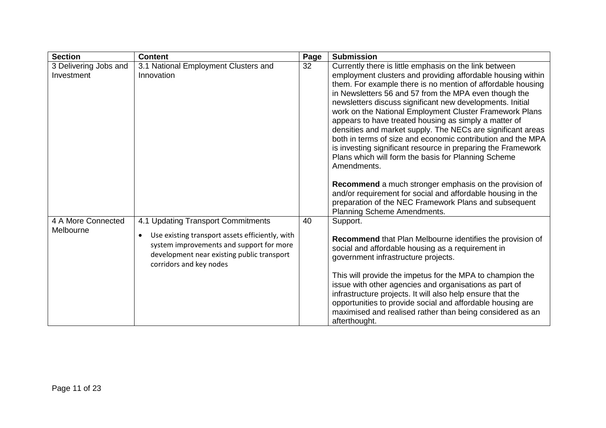| <b>Section</b>                      | <b>Content</b>                                                                                                                                                                                                          | Page | <b>Submission</b>                                                                                                                                                                                                                                                                                                                                                                                                                                                                                                                                                                                                                                                                                                                                                                                                                                                                    |
|-------------------------------------|-------------------------------------------------------------------------------------------------------------------------------------------------------------------------------------------------------------------------|------|--------------------------------------------------------------------------------------------------------------------------------------------------------------------------------------------------------------------------------------------------------------------------------------------------------------------------------------------------------------------------------------------------------------------------------------------------------------------------------------------------------------------------------------------------------------------------------------------------------------------------------------------------------------------------------------------------------------------------------------------------------------------------------------------------------------------------------------------------------------------------------------|
| 3 Delivering Jobs and<br>Investment | 3.1 National Employment Clusters and<br>Innovation                                                                                                                                                                      | 32   | Currently there is little emphasis on the link between<br>employment clusters and providing affordable housing within<br>them. For example there is no mention of affordable housing<br>in Newsletters 56 and 57 from the MPA even though the<br>newsletters discuss significant new developments. Initial<br>work on the National Employment Cluster Framework Plans<br>appears to have treated housing as simply a matter of<br>densities and market supply. The NECs are significant areas<br>both in terms of size and economic contribution and the MPA<br>is investing significant resource in preparing the Framework<br>Plans which will form the basis for Planning Scheme<br>Amendments.<br>Recommend a much stronger emphasis on the provision of<br>and/or requirement for social and affordable housing in the<br>preparation of the NEC Framework Plans and subsequent |
| 4 A More Connected<br>Melbourne     | 4.1 Updating Transport Commitments<br>Use existing transport assets efficiently, with<br>$\bullet$<br>system improvements and support for more<br>development near existing public transport<br>corridors and key nodes | 40   | Planning Scheme Amendments.<br>Support.<br>Recommend that Plan Melbourne identifies the provision of<br>social and affordable housing as a requirement in<br>government infrastructure projects.<br>This will provide the impetus for the MPA to champion the<br>issue with other agencies and organisations as part of<br>infrastructure projects. It will also help ensure that the<br>opportunities to provide social and affordable housing are<br>maximised and realised rather than being considered as an<br>afterthought.                                                                                                                                                                                                                                                                                                                                                    |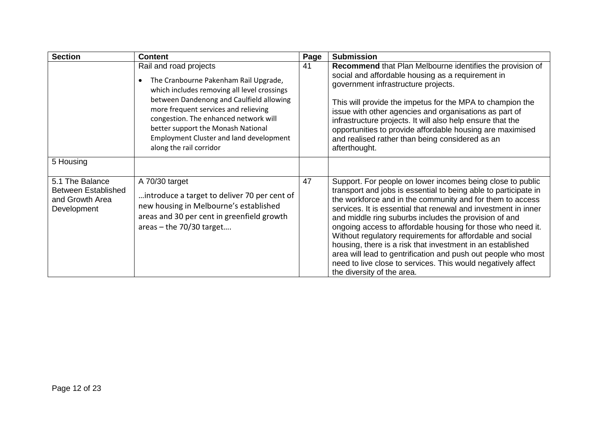| <b>Section</b>                                                                  | <b>Content</b>                                                                                                                                                                                                                                                                                                                                                 | Page | <b>Submission</b>                                                                                                                                                                                                                                                                                                                                                                                                                                                                                                                                                                                                                                                              |
|---------------------------------------------------------------------------------|----------------------------------------------------------------------------------------------------------------------------------------------------------------------------------------------------------------------------------------------------------------------------------------------------------------------------------------------------------------|------|--------------------------------------------------------------------------------------------------------------------------------------------------------------------------------------------------------------------------------------------------------------------------------------------------------------------------------------------------------------------------------------------------------------------------------------------------------------------------------------------------------------------------------------------------------------------------------------------------------------------------------------------------------------------------------|
|                                                                                 | Rail and road projects<br>The Cranbourne Pakenham Rail Upgrade,<br>which includes removing all level crossings<br>between Dandenong and Caulfield allowing<br>more frequent services and relieving<br>congestion. The enhanced network will<br>better support the Monash National<br><b>Employment Cluster and land development</b><br>along the rail corridor | -41  | Recommend that Plan Melbourne identifies the provision of<br>social and affordable housing as a requirement in<br>government infrastructure projects.<br>This will provide the impetus for the MPA to champion the<br>issue with other agencies and organisations as part of<br>infrastructure projects. It will also help ensure that the<br>opportunities to provide affordable housing are maximised<br>and realised rather than being considered as an<br>afterthought.                                                                                                                                                                                                    |
| 5 Housing                                                                       |                                                                                                                                                                                                                                                                                                                                                                |      |                                                                                                                                                                                                                                                                                                                                                                                                                                                                                                                                                                                                                                                                                |
| 5.1 The Balance<br><b>Between Established</b><br>and Growth Area<br>Development | A 70/30 target<br>introduce a target to deliver 70 per cent of<br>new housing in Melbourne's established<br>areas and 30 per cent in greenfield growth<br>areas $-$ the 70/30 target                                                                                                                                                                           | 47   | Support. For people on lower incomes being close to public<br>transport and jobs is essential to being able to participate in<br>the workforce and in the community and for them to access<br>services. It is essential that renewal and investment in inner<br>and middle ring suburbs includes the provision of and<br>ongoing access to affordable housing for those who need it.<br>Without regulatory requirements for affordable and social<br>housing, there is a risk that investment in an established<br>area will lead to gentrification and push out people who most<br>need to live close to services. This would negatively affect<br>the diversity of the area. |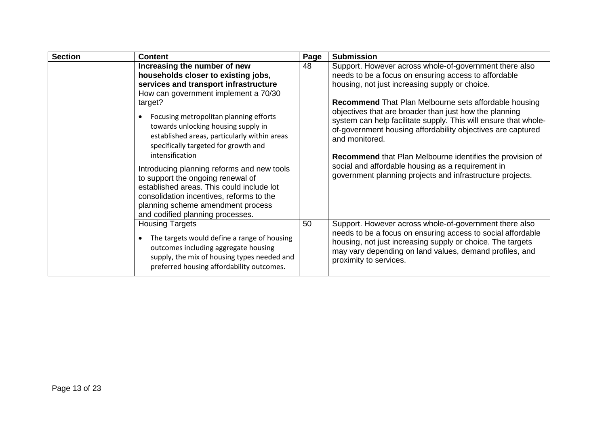| <b>Section</b> | <b>Content</b>                                                                                                                                                                                                                                                                                                                                                                                                                                                                                                                                                                                                   | Page | <b>Submission</b>                                                                                                                                                                                                                                                                                                                                                                                                                                                                                                                                                                                                                    |
|----------------|------------------------------------------------------------------------------------------------------------------------------------------------------------------------------------------------------------------------------------------------------------------------------------------------------------------------------------------------------------------------------------------------------------------------------------------------------------------------------------------------------------------------------------------------------------------------------------------------------------------|------|--------------------------------------------------------------------------------------------------------------------------------------------------------------------------------------------------------------------------------------------------------------------------------------------------------------------------------------------------------------------------------------------------------------------------------------------------------------------------------------------------------------------------------------------------------------------------------------------------------------------------------------|
|                | Increasing the number of new<br>households closer to existing jobs,<br>services and transport infrastructure<br>How can government implement a 70/30<br>target?<br>Focusing metropolitan planning efforts<br>towards unlocking housing supply in<br>established areas, particularly within areas<br>specifically targeted for growth and<br>intensification<br>Introducing planning reforms and new tools<br>to support the ongoing renewal of<br>established areas. This could include lot<br>consolidation incentives, reforms to the<br>planning scheme amendment process<br>and codified planning processes. | 48   | Support. However across whole-of-government there also<br>needs to be a focus on ensuring access to affordable<br>housing, not just increasing supply or choice.<br><b>Recommend</b> That Plan Melbourne sets affordable housing<br>objectives that are broader than just how the planning<br>system can help facilitate supply. This will ensure that whole-<br>of-government housing affordability objectives are captured<br>and monitored.<br><b>Recommend</b> that Plan Melbourne identifies the provision of<br>social and affordable housing as a requirement in<br>government planning projects and infrastructure projects. |
|                | <b>Housing Targets</b><br>The targets would define a range of housing<br>outcomes including aggregate housing<br>supply, the mix of housing types needed and<br>preferred housing affordability outcomes.                                                                                                                                                                                                                                                                                                                                                                                                        | 50   | Support. However across whole-of-government there also<br>needs to be a focus on ensuring access to social affordable<br>housing, not just increasing supply or choice. The targets<br>may vary depending on land values, demand profiles, and<br>proximity to services.                                                                                                                                                                                                                                                                                                                                                             |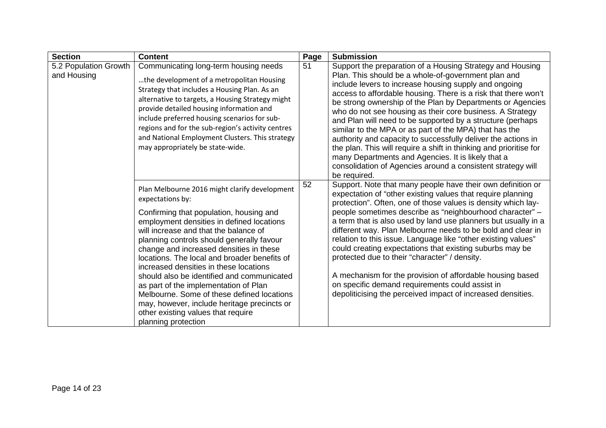| <b>Section</b>                       | <b>Content</b>                                                                                                                                                                                                                                                                                                                                                                                                                                                                                                                                                                                                                        | Page | <b>Submission</b>                                                                                                                                                                                                                                                                                                                                                                                                                                                                                                                                                                                                                                                                                                                                                          |
|--------------------------------------|---------------------------------------------------------------------------------------------------------------------------------------------------------------------------------------------------------------------------------------------------------------------------------------------------------------------------------------------------------------------------------------------------------------------------------------------------------------------------------------------------------------------------------------------------------------------------------------------------------------------------------------|------|----------------------------------------------------------------------------------------------------------------------------------------------------------------------------------------------------------------------------------------------------------------------------------------------------------------------------------------------------------------------------------------------------------------------------------------------------------------------------------------------------------------------------------------------------------------------------------------------------------------------------------------------------------------------------------------------------------------------------------------------------------------------------|
| 5.2 Population Growth<br>and Housing | Communicating long-term housing needs<br>the development of a metropolitan Housing<br>Strategy that includes a Housing Plan. As an<br>alternative to targets, a Housing Strategy might<br>provide detailed housing information and<br>include preferred housing scenarios for sub-<br>regions and for the sub-region's activity centres<br>and National Employment Clusters. This strategy<br>may appropriately be state-wide.                                                                                                                                                                                                        | 51   | Support the preparation of a Housing Strategy and Housing<br>Plan. This should be a whole-of-government plan and<br>include levers to increase housing supply and ongoing<br>access to affordable housing. There is a risk that there won't<br>be strong ownership of the Plan by Departments or Agencies<br>who do not see housing as their core business. A Strategy<br>and Plan will need to be supported by a structure (perhaps<br>similar to the MPA or as part of the MPA) that has the<br>authority and capacity to successfully deliver the actions in<br>the plan. This will require a shift in thinking and prioritise for<br>many Departments and Agencies. It is likely that a<br>consolidation of Agencies around a consistent strategy will<br>be required. |
|                                      | Plan Melbourne 2016 might clarify development<br>expectations by:<br>Confirming that population, housing and<br>employment densities in defined locations<br>will increase and that the balance of<br>planning controls should generally favour<br>change and increased densities in these<br>locations. The local and broader benefits of<br>increased densities in these locations<br>should also be identified and communicated<br>as part of the implementation of Plan<br>Melbourne. Some of these defined locations<br>may, however, include heritage precincts or<br>other existing values that require<br>planning protection | 52   | Support. Note that many people have their own definition or<br>expectation of "other existing values that require planning<br>protection". Often, one of those values is density which lay-<br>people sometimes describe as "neighbourhood character" -<br>a term that is also used by land use planners but usually in a<br>different way. Plan Melbourne needs to be bold and clear in<br>relation to this issue. Language like "other existing values"<br>could creating expectations that existing suburbs may be<br>protected due to their "character" / density.<br>A mechanism for the provision of affordable housing based<br>on specific demand requirements could assist in<br>depoliticising the perceived impact of increased densities.                      |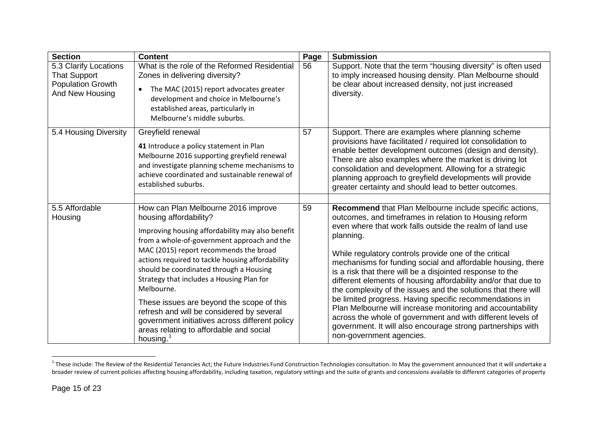<span id="page-14-0"></span>

| <b>Section</b>                                                                              | <b>Content</b>                                                                                                                                                                                                                                                                                                                                                                                                                                                                                                                                                                       | Page | <b>Submission</b>                                                                                                                                                                                                                                                                                                                                                                                                                                                                                                                                                                                                                                                                                                                                                                                      |
|---------------------------------------------------------------------------------------------|--------------------------------------------------------------------------------------------------------------------------------------------------------------------------------------------------------------------------------------------------------------------------------------------------------------------------------------------------------------------------------------------------------------------------------------------------------------------------------------------------------------------------------------------------------------------------------------|------|--------------------------------------------------------------------------------------------------------------------------------------------------------------------------------------------------------------------------------------------------------------------------------------------------------------------------------------------------------------------------------------------------------------------------------------------------------------------------------------------------------------------------------------------------------------------------------------------------------------------------------------------------------------------------------------------------------------------------------------------------------------------------------------------------------|
| 5.3 Clarify Locations<br><b>That Support</b><br><b>Population Growth</b><br>And New Housing | What is the role of the Reformed Residential<br>Zones in delivering diversity?<br>The MAC (2015) report advocates greater<br>development and choice in Melbourne's<br>established areas, particularly in<br>Melbourne's middle suburbs.                                                                                                                                                                                                                                                                                                                                              | 56   | Support. Note that the term "housing diversity" is often used<br>to imply increased housing density. Plan Melbourne should<br>be clear about increased density, not just increased<br>diversity.                                                                                                                                                                                                                                                                                                                                                                                                                                                                                                                                                                                                       |
| 5.4 Housing Diversity                                                                       | Greyfield renewal<br>41 Introduce a policy statement in Plan<br>Melbourne 2016 supporting greyfield renewal<br>and investigate planning scheme mechanisms to<br>achieve coordinated and sustainable renewal of<br>established suburbs.                                                                                                                                                                                                                                                                                                                                               | 57   | Support. There are examples where planning scheme<br>provisions have facilitated / required lot consolidation to<br>enable better development outcomes (design and density).<br>There are also examples where the market is driving lot<br>consolidation and development. Allowing for a strategic<br>planning approach to greyfield developments will provide<br>greater certainty and should lead to better outcomes.                                                                                                                                                                                                                                                                                                                                                                                |
| 5.5 Affordable<br>Housing                                                                   | How can Plan Melbourne 2016 improve<br>housing affordability?<br>Improving housing affordability may also benefit<br>from a whole-of-government approach and the<br>MAC (2015) report recommends the broad<br>actions required to tackle housing affordability<br>should be coordinated through a Housing<br>Strategy that includes a Housing Plan for<br>Melbourne.<br>These issues are beyond the scope of this<br>refresh and will be considered by several<br>government initiatives across different policy<br>areas relating to affordable and social<br>housing. <sup>1</sup> | 59   | Recommend that Plan Melbourne include specific actions,<br>outcomes, and timeframes in relation to Housing reform<br>even where that work falls outside the realm of land use<br>planning.<br>While regulatory controls provide one of the critical<br>mechanisms for funding social and affordable housing, there<br>is a risk that there will be a disjointed response to the<br>different elements of housing affordability and/or that due to<br>the complexity of the issues and the solutions that there will<br>be limited progress. Having specific recommendations in<br>Plan Melbourne will increase monitoring and accountability<br>across the whole of government and with different levels of<br>government. It will also encourage strong partnerships with<br>non-government agencies. |

 $^1$  These include: The Review of the Residential Tenancies Act; the Future Industries Fund Construction Technologies consultation. In May the government announced that it will undertake a broader review of current policies affecting housing affordability, including taxation, regulatory settings and the suite of grants and concessions available to different categories of property

 $\overline{\phantom{a}}$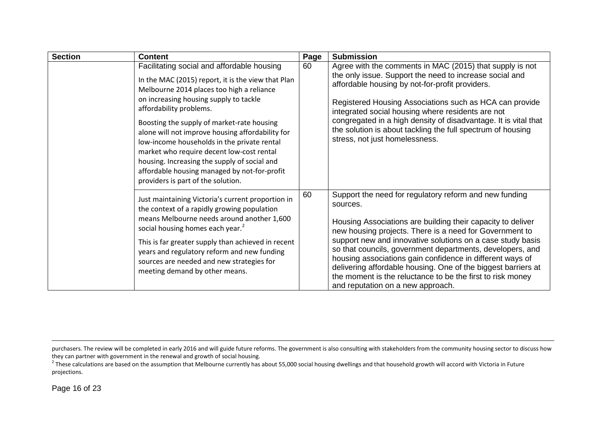<span id="page-15-0"></span>

| <b>Section</b> | <b>Content</b>                                                                                                                                                                                                                                                                                                                                                                                                                                                                                                                                         | Page | <b>Submission</b>                                                                                                                                                                                                                                                                                                                                                                                                                                                                                                                                        |
|----------------|--------------------------------------------------------------------------------------------------------------------------------------------------------------------------------------------------------------------------------------------------------------------------------------------------------------------------------------------------------------------------------------------------------------------------------------------------------------------------------------------------------------------------------------------------------|------|----------------------------------------------------------------------------------------------------------------------------------------------------------------------------------------------------------------------------------------------------------------------------------------------------------------------------------------------------------------------------------------------------------------------------------------------------------------------------------------------------------------------------------------------------------|
|                | Facilitating social and affordable housing<br>In the MAC (2015) report, it is the view that Plan<br>Melbourne 2014 places too high a reliance<br>on increasing housing supply to tackle<br>affordability problems.<br>Boosting the supply of market-rate housing<br>alone will not improve housing affordability for<br>low-income households in the private rental<br>market who require decent low-cost rental<br>housing. Increasing the supply of social and<br>affordable housing managed by not-for-profit<br>providers is part of the solution. | 60   | Agree with the comments in MAC (2015) that supply is not<br>the only issue. Support the need to increase social and<br>affordable housing by not-for-profit providers.<br>Registered Housing Associations such as HCA can provide<br>integrated social housing where residents are not<br>congregated in a high density of disadvantage. It is vital that<br>the solution is about tackling the full spectrum of housing<br>stress, not just homelessness.                                                                                               |
|                | Just maintaining Victoria's current proportion in<br>the context of a rapidly growing population<br>means Melbourne needs around another 1,600<br>social housing homes each year. <sup>2</sup><br>This is far greater supply than achieved in recent<br>years and regulatory reform and new funding<br>sources are needed and new strategies for<br>meeting demand by other means.                                                                                                                                                                     | 60   | Support the need for regulatory reform and new funding<br>sources.<br>Housing Associations are building their capacity to deliver<br>new housing projects. There is a need for Government to<br>support new and innovative solutions on a case study basis<br>so that councils, government departments, developers, and<br>housing associations gain confidence in different ways of<br>delivering affordable housing. One of the biggest barriers at<br>the moment is the reluctance to be the first to risk money<br>and reputation on a new approach. |

 $\overline{\phantom{a}}$ 

purchasers. The review will be completed in early 2016 and will guide future reforms. The government is also consulting with stakeholders from the community housing sector to discuss how<br>they can partner with government in

<sup>&</sup>lt;sup>2</sup> These calculations are based on the assumption that Melbourne currently has about 55,000 social housing dwellings and that household growth will accord with Victoria in Future projections.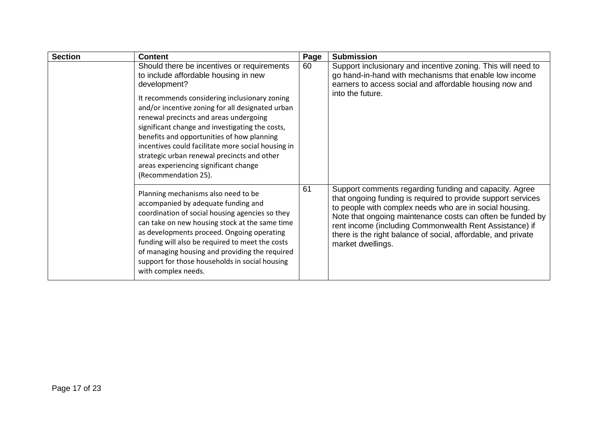| <b>Section</b> | <b>Content</b>                                                                                                                                                                                                                                                                                                                                                                                                                                                                                                           | Page | <b>Submission</b>                                                                                                                                                                                                                                                                                                                                                                                |
|----------------|--------------------------------------------------------------------------------------------------------------------------------------------------------------------------------------------------------------------------------------------------------------------------------------------------------------------------------------------------------------------------------------------------------------------------------------------------------------------------------------------------------------------------|------|--------------------------------------------------------------------------------------------------------------------------------------------------------------------------------------------------------------------------------------------------------------------------------------------------------------------------------------------------------------------------------------------------|
|                | Should there be incentives or requirements<br>to include affordable housing in new<br>development?<br>It recommends considering inclusionary zoning<br>and/or incentive zoning for all designated urban<br>renewal precincts and areas undergoing<br>significant change and investigating the costs,<br>benefits and opportunities of how planning<br>incentives could facilitate more social housing in<br>strategic urban renewal precincts and other<br>areas experiencing significant change<br>(Recommendation 25). | 60   | Support inclusionary and incentive zoning. This will need to<br>go hand-in-hand with mechanisms that enable low income<br>earners to access social and affordable housing now and<br>into the future.                                                                                                                                                                                            |
|                | Planning mechanisms also need to be<br>accompanied by adequate funding and<br>coordination of social housing agencies so they<br>can take on new housing stock at the same time<br>as developments proceed. Ongoing operating<br>funding will also be required to meet the costs<br>of managing housing and providing the required<br>support for those households in social housing<br>with complex needs.                                                                                                              | 61   | Support comments regarding funding and capacity. Agree<br>that ongoing funding is required to provide support services<br>to people with complex needs who are in social housing.<br>Note that ongoing maintenance costs can often be funded by<br>rent income (including Commonwealth Rent Assistance) if<br>there is the right balance of social, affordable, and private<br>market dwellings. |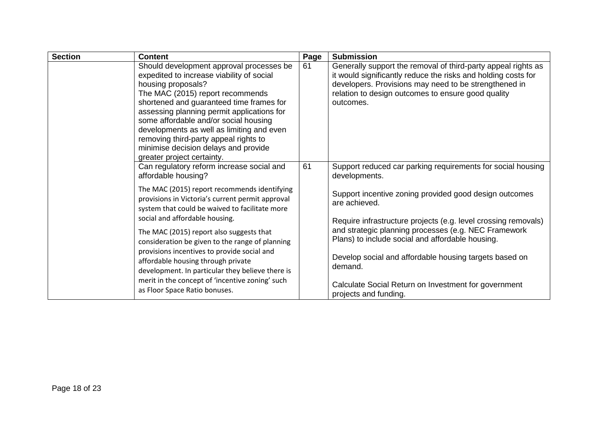| <b>Section</b> | <b>Content</b>                                                                                                                                                                                                                                                                                                                                                                                                                                 | Page | <b>Submission</b>                                                                                                                                                                                                                                          |
|----------------|------------------------------------------------------------------------------------------------------------------------------------------------------------------------------------------------------------------------------------------------------------------------------------------------------------------------------------------------------------------------------------------------------------------------------------------------|------|------------------------------------------------------------------------------------------------------------------------------------------------------------------------------------------------------------------------------------------------------------|
|                | Should development approval processes be<br>expedited to increase viability of social<br>housing proposals?<br>The MAC (2015) report recommends<br>shortened and guaranteed time frames for<br>assessing planning permit applications for<br>some affordable and/or social housing<br>developments as well as limiting and even<br>removing third-party appeal rights to<br>minimise decision delays and provide<br>greater project certainty. | 61   | Generally support the removal of third-party appeal rights as<br>it would significantly reduce the risks and holding costs for<br>developers. Provisions may need to be strengthened in<br>relation to design outcomes to ensure good quality<br>outcomes. |
|                | Can regulatory reform increase social and<br>affordable housing?                                                                                                                                                                                                                                                                                                                                                                               | 61   | Support reduced car parking requirements for social housing<br>developments.                                                                                                                                                                               |
|                | The MAC (2015) report recommends identifying<br>provisions in Victoria's current permit approval<br>system that could be waived to facilitate more                                                                                                                                                                                                                                                                                             |      | Support incentive zoning provided good design outcomes<br>are achieved.                                                                                                                                                                                    |
|                | social and affordable housing.                                                                                                                                                                                                                                                                                                                                                                                                                 |      | Require infrastructure projects (e.g. level crossing removals)<br>and strategic planning processes (e.g. NEC Framework                                                                                                                                     |
|                | The MAC (2015) report also suggests that<br>consideration be given to the range of planning                                                                                                                                                                                                                                                                                                                                                    |      | Plans) to include social and affordable housing.                                                                                                                                                                                                           |
|                | provisions incentives to provide social and<br>affordable housing through private<br>development. In particular they believe there is                                                                                                                                                                                                                                                                                                          |      | Develop social and affordable housing targets based on<br>demand.                                                                                                                                                                                          |
|                | merit in the concept of 'incentive zoning' such<br>as Floor Space Ratio bonuses.                                                                                                                                                                                                                                                                                                                                                               |      | Calculate Social Return on Investment for government<br>projects and funding.                                                                                                                                                                              |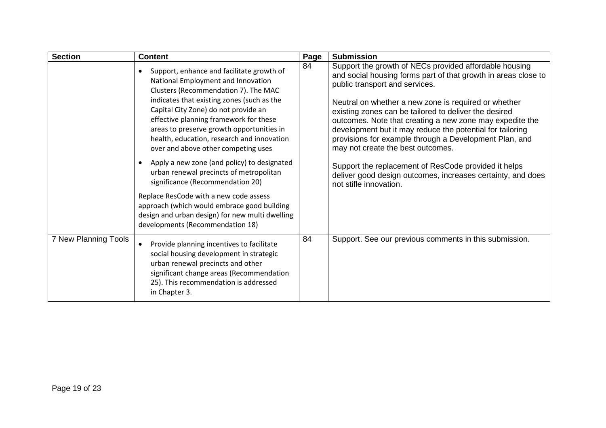| <b>Section</b>       | <b>Content</b>                                                                                                                                                                                                                                                                                                                                                                                                                                                                                                                                                                 | Page | <b>Submission</b>                                                                                                                                                                                                                                                                                                                                                                                                                                                                                                                                                                                                                                    |
|----------------------|--------------------------------------------------------------------------------------------------------------------------------------------------------------------------------------------------------------------------------------------------------------------------------------------------------------------------------------------------------------------------------------------------------------------------------------------------------------------------------------------------------------------------------------------------------------------------------|------|------------------------------------------------------------------------------------------------------------------------------------------------------------------------------------------------------------------------------------------------------------------------------------------------------------------------------------------------------------------------------------------------------------------------------------------------------------------------------------------------------------------------------------------------------------------------------------------------------------------------------------------------------|
|                      | Support, enhance and facilitate growth of<br>National Employment and Innovation<br>Clusters (Recommendation 7). The MAC<br>indicates that existing zones (such as the<br>Capital City Zone) do not provide an<br>effective planning framework for these<br>areas to preserve growth opportunities in<br>health, education, research and innovation<br>over and above other competing uses<br>Apply a new zone (and policy) to designated<br>$\bullet$<br>urban renewal precincts of metropolitan<br>significance (Recommendation 20)<br>Replace ResCode with a new code assess | 84   | Support the growth of NECs provided affordable housing<br>and social housing forms part of that growth in areas close to<br>public transport and services.<br>Neutral on whether a new zone is required or whether<br>existing zones can be tailored to deliver the desired<br>outcomes. Note that creating a new zone may expedite the<br>development but it may reduce the potential for tailoring<br>provisions for example through a Development Plan, and<br>may not create the best outcomes.<br>Support the replacement of ResCode provided it helps<br>deliver good design outcomes, increases certainty, and does<br>not stifle innovation. |
|                      | approach (which would embrace good building<br>design and urban design) for new multi dwelling<br>developments (Recommendation 18)                                                                                                                                                                                                                                                                                                                                                                                                                                             |      |                                                                                                                                                                                                                                                                                                                                                                                                                                                                                                                                                                                                                                                      |
| 7 New Planning Tools | Provide planning incentives to facilitate<br>social housing development in strategic<br>urban renewal precincts and other<br>significant change areas (Recommendation<br>25). This recommendation is addressed<br>in Chapter 3.                                                                                                                                                                                                                                                                                                                                                | 84   | Support. See our previous comments in this submission.                                                                                                                                                                                                                                                                                                                                                                                                                                                                                                                                                                                               |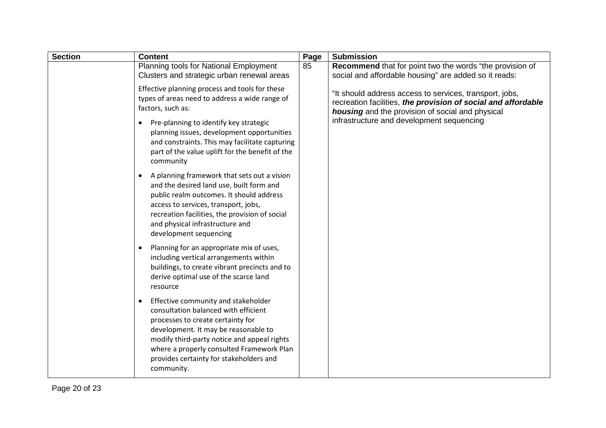| <b>Section</b> | <b>Content</b>                                                                                                                                                                                                                                                                                                | Page | <b>Submission</b>                                                                                                                                                            |
|----------------|---------------------------------------------------------------------------------------------------------------------------------------------------------------------------------------------------------------------------------------------------------------------------------------------------------------|------|------------------------------------------------------------------------------------------------------------------------------------------------------------------------------|
|                | Planning tools for National Employment<br>Clusters and strategic urban renewal areas                                                                                                                                                                                                                          | 85   | <b>Recommend</b> that for point two the words "the provision of<br>social and affordable housing" are added so it reads:                                                     |
|                | Effective planning process and tools for these<br>types of areas need to address a wide range of<br>factors, such as:                                                                                                                                                                                         |      | "It should address access to services, transport, jobs,<br>recreation facilities, the provision of social and affordable<br>housing and the provision of social and physical |
|                | Pre-planning to identify key strategic<br>$\bullet$<br>planning issues, development opportunities<br>and constraints. This may facilitate capturing<br>part of the value uplift for the benefit of the<br>community                                                                                           |      | infrastructure and development sequencing                                                                                                                                    |
|                | A planning framework that sets out a vision<br>$\bullet$<br>and the desired land use, built form and<br>public realm outcomes. It should address<br>access to services, transport, jobs,<br>recreation facilities, the provision of social<br>and physical infrastructure and<br>development sequencing       |      |                                                                                                                                                                              |
|                | Planning for an appropriate mix of uses,<br>including vertical arrangements within<br>buildings, to create vibrant precincts and to<br>derive optimal use of the scarce land<br>resource                                                                                                                      |      |                                                                                                                                                                              |
|                | Effective community and stakeholder<br>consultation balanced with efficient<br>processes to create certainty for<br>development. It may be reasonable to<br>modify third-party notice and appeal rights<br>where a properly consulted Framework Plan<br>provides certainty for stakeholders and<br>community. |      |                                                                                                                                                                              |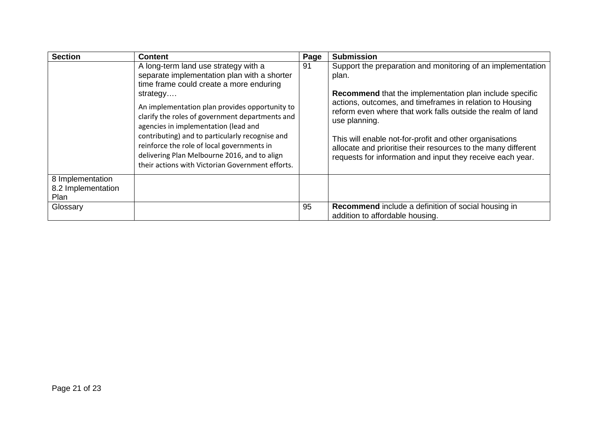| <b>Section</b>                                 | <b>Content</b>                                                                                                                                                                                                                                                                                                                                                                                                                                                                               | Page | <b>Submission</b>                                                                                                                                                                                                                                                                                                                                                                                                                                                            |
|------------------------------------------------|----------------------------------------------------------------------------------------------------------------------------------------------------------------------------------------------------------------------------------------------------------------------------------------------------------------------------------------------------------------------------------------------------------------------------------------------------------------------------------------------|------|------------------------------------------------------------------------------------------------------------------------------------------------------------------------------------------------------------------------------------------------------------------------------------------------------------------------------------------------------------------------------------------------------------------------------------------------------------------------------|
|                                                | A long-term land use strategy with a<br>separate implementation plan with a shorter<br>time frame could create a more enduring<br>strategy<br>An implementation plan provides opportunity to<br>clarify the roles of government departments and<br>agencies in implementation (lead and<br>contributing) and to particularly recognise and<br>reinforce the role of local governments in<br>delivering Plan Melbourne 2016, and to align<br>their actions with Victorian Government efforts. | 91   | Support the preparation and monitoring of an implementation<br>plan.<br><b>Recommend</b> that the implementation plan include specific<br>actions, outcomes, and timeframes in relation to Housing<br>reform even where that work falls outside the realm of land<br>use planning.<br>This will enable not-for-profit and other organisations<br>allocate and prioritise their resources to the many different<br>requests for information and input they receive each year. |
| 8 Implementation<br>8.2 Implementation<br>Plan |                                                                                                                                                                                                                                                                                                                                                                                                                                                                                              |      |                                                                                                                                                                                                                                                                                                                                                                                                                                                                              |
| Glossary                                       |                                                                                                                                                                                                                                                                                                                                                                                                                                                                                              | 95   | <b>Recommend</b> include a definition of social housing in<br>addition to affordable housing.                                                                                                                                                                                                                                                                                                                                                                                |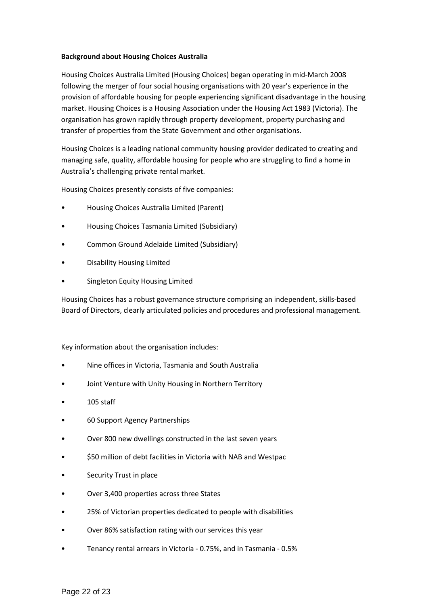#### **Background about Housing Choices Australia**

Housing Choices Australia Limited (Housing Choices) began operating in mid-March 2008 following the merger of four social housing organisations with 20 year's experience in the provision of affordable housing for people experiencing significant disadvantage in the housing market. Housing Choices is a Housing Association under the Housing Act 1983 (Victoria). The organisation has grown rapidly through property development, property purchasing and transfer of properties from the State Government and other organisations.

Housing Choices is a leading national community housing provider dedicated to creating and managing safe, quality, affordable housing for people who are struggling to find a home in Australia's challenging private rental market.

Housing Choices presently consists of five companies:

- Housing Choices Australia Limited (Parent)
- Housing Choices Tasmania Limited (Subsidiary)
- Common Ground Adelaide Limited (Subsidiary)
- Disability Housing Limited
- Singleton Equity Housing Limited

Housing Choices has a robust governance structure comprising an independent, skills-based Board of Directors, clearly articulated policies and procedures and professional management.

Key information about the organisation includes:

- Nine offices in Victoria, Tasmania and South Australia
- Joint Venture with Unity Housing in Northern Territory
- 105 staff
- 60 Support Agency Partnerships
- Over 800 new dwellings constructed in the last seven years
- \$50 million of debt facilities in Victoria with NAB and Westpac
- Security Trust in place
- Over 3,400 properties across three States
- 25% of Victorian properties dedicated to people with disabilities
- Over 86% satisfaction rating with our services this year
- Tenancy rental arrears in Victoria 0.75%, and in Tasmania 0.5%